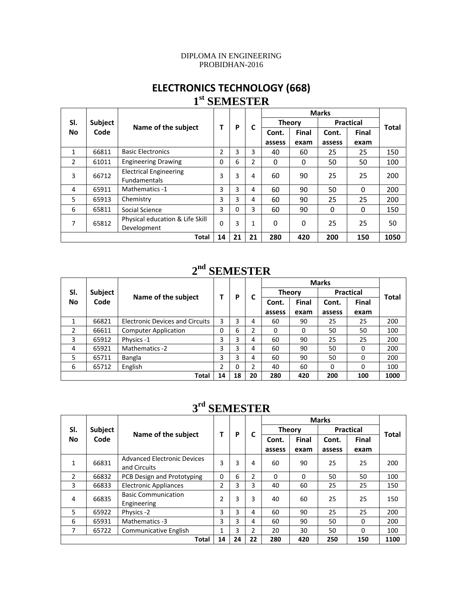#### DIPLOMA IN ENGINEERING PROBIDHAN-2016

#### **ELECTRONICS TECHNOLOGY (668) 1st SEMESTER**

|              |                        |                                 | т        |    | C            |               |              |                  |          |              |
|--------------|------------------------|---------------------------------|----------|----|--------------|---------------|--------------|------------------|----------|--------------|
| SI.          | <b>Subject</b><br>Code |                                 |          | P  |              | <b>Theory</b> |              | <b>Practical</b> |          | <b>Total</b> |
| <b>No</b>    |                        | Name of the subject             |          |    |              | Cont.         | <b>Final</b> | Cont.            | Final    |              |
|              |                        |                                 |          |    |              | assess        | exam         | assess           | exam     |              |
| $\mathbf{1}$ | 66811                  | <b>Basic Electronics</b>        | 2        | 3  | 3            | 40            | 60           | 25               | 25       | 150          |
| 2            | 61011                  | <b>Engineering Drawing</b>      | 0        | 6  | 2            | 0             | 0            | 50               | 50       | 100          |
| 3            | 66712                  | <b>Electrical Engineering</b>   | 3        | 3  | 4            | 60            | 90           | 25               | 25       | 200          |
|              |                        | <b>Fundamentals</b>             |          |    |              |               |              |                  |          |              |
| 4            | 65911                  | <b>Mathematics -1</b>           | 3        | 3  | 4            | 60            | 90           | 50               | $\Omega$ | 200          |
| 5            | 65913                  | Chemistry                       | 3        | 3  | 4            | 60            | 90           | 25               | 25       | 200          |
| 6            | 65811                  | Social Science                  | 3        | 0  | 3            | 60            | 90           | 0                | 0        | 150          |
| 7            | 65812                  | Physical education & Life Skill | $\Omega$ | 3  | $\mathbf{1}$ | $\Omega$      | 0            | 25               | 25       | 50           |
|              |                        | Development                     |          |    |              |               |              |                  |          |              |
|              |                        | <b>Total</b>                    | 14       | 21 | 21           | 280           | 420          | 200              | 150      | 1050         |

#### **2nd SEMESTER**

|                  |                |                                        |    |    | C  |               |              |                  |              |       |
|------------------|----------------|----------------------------------------|----|----|----|---------------|--------------|------------------|--------------|-------|
| SI.<br><b>No</b> | <b>Subject</b> |                                        |    |    |    | <b>Theory</b> |              | <b>Practical</b> |              | Total |
|                  | Code           | Name of the subject                    |    | Ρ  |    | Cont.         | <b>Final</b> | Cont.            | <b>Final</b> |       |
|                  |                |                                        |    |    |    | assess        | exam         | assess           | exam         |       |
| 1                | 66821          | <b>Electronic Devices and Circuits</b> | 3  | 3  | 4  | 60            | 90           | 25               | 25           | 200   |
| 2                | 66611          | <b>Computer Application</b>            | 0  | 6  | 2  | 0             | 0            | 50               | 50           | 100   |
| 3                | 65912          | Physics -1                             | 3  | 3  | 4  | 60            | 90           | 25               | 25           | 200   |
| 4                | 65921          | Mathematics -2                         | 3  | 3  | 4  | 60            | 90           | 50               | $\Omega$     | 200   |
| 5                | 65711          | Bangla                                 | 3  | 3  | 4  | 60            | 90           | 50               | $\Omega$     | 200   |
| 6                | 65712          | English                                | 2  | 0  | 2  | 40            | 60           | 0                | 0            | 100   |
|                  |                | Total                                  | 14 | 18 | 20 | 280           | 420          | 200              | 100          | 1000  |

#### **3rd SEMESTER**

|                  | Subject<br>Code |                                                    |                | P  | C              |               |              | <b>Marks</b>     |          |              |
|------------------|-----------------|----------------------------------------------------|----------------|----|----------------|---------------|--------------|------------------|----------|--------------|
| SI.<br><b>No</b> |                 | Name of the subject                                |                |    |                | <b>Theory</b> |              | <b>Practical</b> |          | <b>Total</b> |
|                  |                 |                                                    |                |    |                | Cont.         | <b>Final</b> | Cont.            | Final    |              |
|                  |                 |                                                    |                |    |                | assess        | exam         | assess           | exam     |              |
| 1                | 66831           | <b>Advanced Electronic Devices</b><br>and Circuits | 3              | 3  | 4              | 60            | 90           | 25               | 25       | 200          |
| 2                | 66832           | PCB Design and Prototyping                         | $\Omega$       | 6  | 2              | $\Omega$      | $\Omega$     | 50               | 50       | 100          |
| 3                | 66833           | <b>Electronic Appliances</b>                       | $\overline{2}$ | 3  | 3              | 40            | 60           | 25               | 25       | 150          |
| 4                | 66835           | <b>Basic Communication</b><br>Engineering          | 2              | 3  | 3              | 40            | 60           | 25               | 25       | 150          |
| 5                | 65922           | Physics -2                                         | 3              | 3  | 4              | 60            | 90           | 25               | 25       | 200          |
| 6                | 65931           | Mathematics -3                                     | 3              | 3  | 4              | 60            | 90           | 50               | $\Omega$ | 200          |
| 7                | 65722           | <b>Communicative English</b>                       |                | 3  | $\overline{2}$ | 20            | 30           | 50               | $\Omega$ | 100          |
|                  |                 | Total                                              | 14             | 24 | 22             | 280           | 420          | 250              | 150      | 1100         |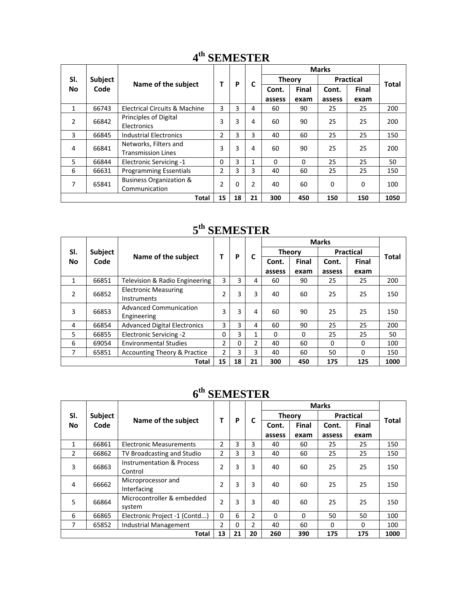|              |         |                                                     |                | P  | C            |               |          |                  |              |              |
|--------------|---------|-----------------------------------------------------|----------------|----|--------------|---------------|----------|------------------|--------------|--------------|
| SI.          | Subject |                                                     |                |    |              | <b>Theory</b> |          | <b>Practical</b> |              | <b>Total</b> |
| <b>No</b>    | Code    | Name of the subject                                 |                |    |              | Cont.         | Final    | Cont.            | <b>Final</b> |              |
|              |         |                                                     |                |    |              | assess        | exam     | assess           | exam         |              |
| $\mathbf{1}$ | 66743   | <b>Electrical Circuits &amp; Machine</b>            | 3              | 3  | 4            | 60            | 90       | 25               | 25           | 200          |
| 2            | 66842   | Principles of Digital<br>Electronics                | 3              | 3  | 4            | 60            | 90       | 25               | 25           | 200          |
| 3            | 66845   | <b>Industrial Electronics</b>                       | $\overline{2}$ | 3  | 3            | 40            | 60       | 25               | 25           | 150          |
| 4            | 66841   | Networks, Filters and<br><b>Transmission Lines</b>  | 3              | 3  | 4            | 60            | 90       | 25               | 25           | 200          |
| 5            | 66844   | <b>Electronic Servicing -1</b>                      | $\Omega$       | 3  | $\mathbf{1}$ | $\Omega$      | $\Omega$ | 25               | 25           | 50           |
| 6            | 66631   | <b>Programming Essentials</b>                       | 2              | 3  | 3            | 40            | 60       | 25               | 25           | 150          |
| 7            | 65841   | <b>Business Organization &amp;</b><br>Communication | $\overline{2}$ | 0  | 2            | 40            | 60       | $\Omega$         | $\Omega$     | 100          |
|              |         | <b>Total</b>                                        | 15             | 18 | 21           | 300           | 450      | 150              | 150          | 1050         |

#### **4th SEMESTER**

### **5th SEMESTER**

|                  | Subject<br>Code |                                                   |                | P  | C              |               |              |                  |          |              |
|------------------|-----------------|---------------------------------------------------|----------------|----|----------------|---------------|--------------|------------------|----------|--------------|
| SI.<br><b>No</b> |                 |                                                   | т              |    |                | <b>Theory</b> |              | <b>Practical</b> |          |              |
|                  |                 | Name of the subject                               |                |    |                | Cont.         | <b>Final</b> | Cont.            | Final    | <b>Total</b> |
|                  |                 |                                                   |                |    |                | assess        | exam         | assess           | exam     |              |
| 1                | 66851           | Television & Radio Engineering                    | 3              | 3  | 4              | 60            | 90           | 25               | 25       | 200          |
| 2                | 66852           | <b>Electronic Measuring</b><br><b>Instruments</b> | $\mathfrak{p}$ | 3  | 3              | 40            | 60           | 25               | 25       | 150          |
| 3                | 66853           | <b>Advanced Communication</b><br>Engineering      | 3              | 3  | 4              | 60            | 90           | 25               | 25       | 150          |
| 4                | 66854           | <b>Advanced Digital Electronics</b>               | 3              | 3  | 4              | 60            | 90           | 25               | 25       | 200          |
| 5                | 66855           | Electronic Servicing -2                           | 0              | 3  | $\mathbf 1$    | $\Omega$      | $\Omega$     | 25               | 25       | 50           |
| 6                | 69054           | <b>Environmental Studies</b>                      | $\mathcal{P}$  | 0  | $\overline{2}$ | 40            | 60           | 0                | $\Omega$ | 100          |
| 7                | 65851           | <b>Accounting Theory &amp; Practice</b>           | $\overline{2}$ | 3  | 3              | 40            | 60           | 50               | 0        | 150          |
|                  |                 | <b>Total</b>                                      | 15             | 18 | 21             | 300           | 450          | 175              | 125      | 1000         |

# **6th SEMESTER**

|              |                |                                      |                | P  | C              |               |          |                  |          |              |
|--------------|----------------|--------------------------------------|----------------|----|----------------|---------------|----------|------------------|----------|--------------|
| SI.          | <b>Subject</b> |                                      |                |    |                | <b>Theory</b> |          | <b>Practical</b> |          | <b>Total</b> |
| <b>No</b>    | Code           | Name of the subject                  |                |    |                | Cont.         | Final    | Cont.            | Final    |              |
|              |                |                                      |                |    |                | assess        | exam     | assess           | exam     |              |
| $\mathbf{1}$ | 66861          | <b>Electronic Measurements</b>       | 2              | 3  | 3              | 40            | 60       | 25               | 25       | 150          |
| 2            | 66862          | TV Broadcasting and Studio           | 2              | 3  | 3              | 40            | 60       | 25               | 25       | 150          |
| 3            | 66863          | <b>Instrumentation &amp; Process</b> | 2              | 3  | 3              | 40            | 60       | 25               | 25       | 150          |
|              |                | Control                              |                |    |                |               |          |                  |          |              |
| 4            | 66662          | Microprocessor and                   | $\overline{2}$ | 3  | 3              | 40            | 60       | 25               | 25       | 150          |
|              |                | Interfacing                          |                |    |                |               |          |                  |          |              |
| 5            | 66864          | Microcontroller & embedded           | 2              | 3  | 3              | 40            | 60       | 25               | 25       | 150          |
|              |                | system                               |                |    |                |               |          |                  |          |              |
| 6            | 66865          | Electronic Project -1 (Contd)        | $\Omega$       | 6  | 2              | $\Omega$      | $\Omega$ | 50               | 50       | 100          |
| 7            | 65852          | Industrial Management                | 2              | 0  | $\overline{2}$ | 40            | 60       | $\Omega$         | $\Omega$ | 100          |
|              |                | <b>Total</b>                         | 13             | 21 | 20             | 260           | 390      | 175              | 175      | 1000         |